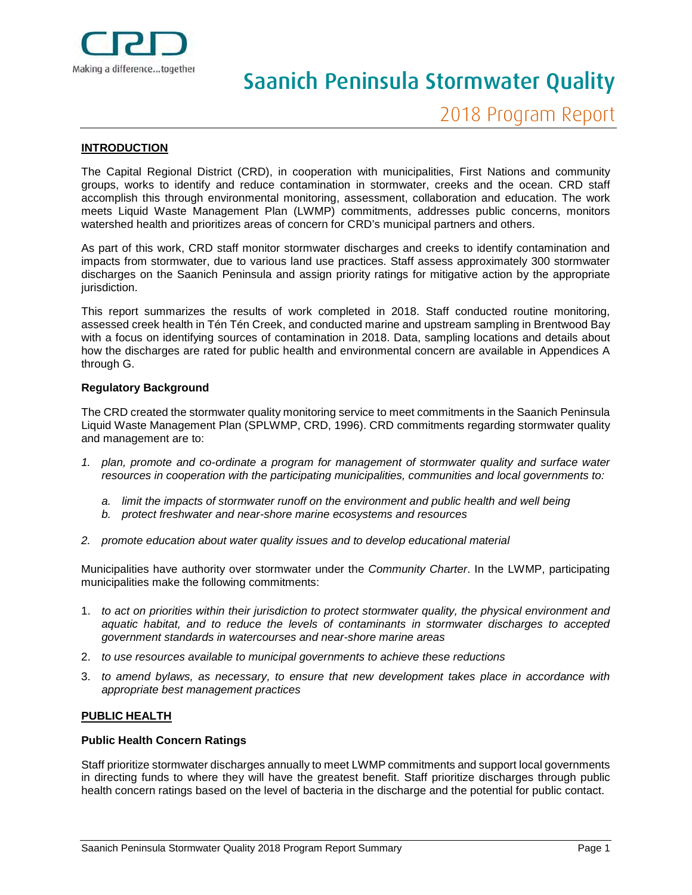

# Saanich Peninsula Stormwater Quality

#### **INTRODUCTION**

The Capital Regional District (CRD), in cooperation with municipalities, First Nations and community groups, works to identify and reduce contamination in stormwater, creeks and the ocean. CRD staff accomplish this through environmental monitoring, assessment, collaboration and education. The work meets Liquid Waste Management Plan (LWMP) commitments, addresses public concerns, monitors watershed health and prioritizes areas of concern for CRD's municipal partners and others.

As part of this work, CRD staff monitor stormwater discharges and creeks to identify contamination and impacts from stormwater, due to various land use practices. Staff assess approximately 300 stormwater discharges on the Saanich Peninsula and assign priority ratings for mitigative action by the appropriate jurisdiction.

This report summarizes the results of work completed in 2018. Staff conducted routine monitoring, assessed creek health in Tén Tén Creek, and conducted marine and upstream sampling in Brentwood Bay with a focus on identifying sources of contamination in 2018. Data, sampling locations and details about how the discharges are rated for public health and environmental concern are available in Appendices A through G.

#### **Regulatory Background**

The CRD created the stormwater quality monitoring service to meet commitments in the Saanich Peninsula Liquid Waste Management Plan (SPLWMP, CRD, 1996). CRD commitments regarding stormwater quality and management are to:

- *1. plan, promote and co-ordinate a program for management of stormwater quality and surface water resources in cooperation with the participating municipalities, communities and local governments to:*
	- *a. limit the impacts of stormwater runoff on the environment and public health and well being*
	- *b. protect freshwater and near-shore marine ecosystems and resources*
- *2. promote education about water quality issues and to develop educational material*

Municipalities have authority over stormwater under the *Community Charter*. In the LWMP, participating municipalities make the following commitments:

- 1. *to act on priorities within their jurisdiction to protect stormwater quality, the physical environment and aquatic habitat, and to reduce the levels of contaminants in stormwater discharges to accepted government standards in watercourses and near-shore marine areas*
- 2. *to use resources available to municipal governments to achieve these reductions*
- 3. *to amend bylaws, as necessary, to ensure that new development takes place in accordance with appropriate best management practices*

#### **PUBLIC HEALTH**

#### **Public Health Concern Ratings**

Staff prioritize stormwater discharges annually to meet LWMP commitments and support local governments in directing funds to where they will have the greatest benefit. Staff prioritize discharges through public health concern ratings based on the level of bacteria in the discharge and the potential for public contact.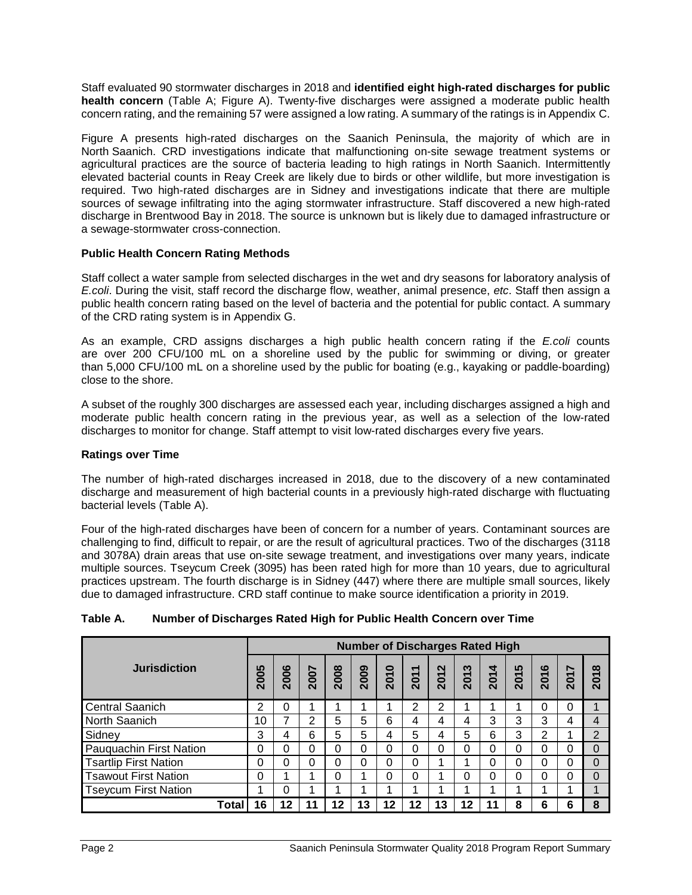Staff evaluated 90 stormwater discharges in 2018 and **identified eight high-rated discharges for public health concern** (Table A; Figure A). Twenty-five discharges were assigned a moderate public health concern rating, and the remaining 57 were assigned a low rating. A summary of the ratings is in Appendix C.

Figure A presents high-rated discharges on the Saanich Peninsula, the majority of which are in North Saanich. CRD investigations indicate that malfunctioning on-site sewage treatment systems or agricultural practices are the source of bacteria leading to high ratings in North Saanich. Intermittently elevated bacterial counts in Reay Creek are likely due to birds or other wildlife, but more investigation is required. Two high-rated discharges are in Sidney and investigations indicate that there are multiple sources of sewage infiltrating into the aging stormwater infrastructure. Staff discovered a new high-rated discharge in Brentwood Bay in 2018. The source is unknown but is likely due to damaged infrastructure or a sewage-stormwater cross-connection.

## **Public Health Concern Rating Methods**

Staff collect a water sample from selected discharges in the wet and dry seasons for laboratory analysis of *E.coli*. During the visit, staff record the discharge flow, weather, animal presence, *etc*. Staff then assign a public health concern rating based on the level of bacteria and the potential for public contact. A summary of the CRD rating system is in Appendix G.

As an example, CRD assigns discharges a high public health concern rating if the *E.coli* counts are over 200 CFU/100 mL on a shoreline used by the public for swimming or diving, or greater than 5,000 CFU/100 mL on a shoreline used by the public for boating (e.g., kayaking or paddle-boarding) close to the shore.

A subset of the roughly 300 discharges are assessed each year, including discharges assigned a high and moderate public health concern rating in the previous year, as well as a selection of the low-rated discharges to monitor for change. Staff attempt to visit low-rated discharges every five years.

# **Ratings over Time**

The number of high-rated discharges increased in 2018, due to the discovery of a new contaminated discharge and measurement of high bacterial counts in a previously high-rated discharge with fluctuating bacterial levels (Table A).

Four of the high-rated discharges have been of concern for a number of years. Contaminant sources are challenging to find, difficult to repair, or are the result of agricultural practices. Two of the discharges (3118 and 3078A) drain areas that use on-site sewage treatment, and investigations over many years, indicate multiple sources. Tseycum Creek (3095) has been rated high for more than 10 years, due to agricultural practices upstream. The fourth discharge is in Sidney (447) where there are multiple small sources, likely due to damaged infrastructure. CRD staff continue to make source identification a priority in 2019.

|  | Table A. | Number of Discharges Rated High for Public Health Concern over Time |  |
|--|----------|---------------------------------------------------------------------|--|
|--|----------|---------------------------------------------------------------------|--|

| <b>Jurisdiction</b>          |    | <b>Number of Discharges Rated High</b> |             |          |          |                  |          |                          |          |          |                  |          |                              |                         |
|------------------------------|----|----------------------------------------|-------------|----------|----------|------------------|----------|--------------------------|----------|----------|------------------|----------|------------------------------|-------------------------|
|                              |    | 006<br>$\bar{\mathbf{N}}$              | <b>Z007</b> | 2008     | 2009     | $\bullet$<br>201 | ے<br>201 | $\mathbf{\Omega}$<br>201 | ణ<br>201 | 4<br>201 | <b>LC</b><br>201 | ဖ<br>201 | 5<br>$\overline{\mathbf{N}}$ | $\infty$<br>201         |
| <b>Central Saanich</b>       | 2  | 0                                      |             |          |          |                  | 2        | 2                        |          |          |                  | 0        | 0                            |                         |
| North Saanich                |    | 7                                      | っ           | 5        | 5        | 6                | 4        | 4                        | 4        | 3        | 3                | 3        | 4                            | $\overline{4}$          |
| Sidney                       |    | 4                                      | 6           | 5        | 5        | 4                | 5        | 4                        | 5        | 6        | 3                | 2        |                              | $\overline{2}$          |
| Pauquachin First Nation      |    | 0                                      | 0           | $\Omega$ | 0        | 0                | 0        |                          | 0        | 0        | $\Omega$         | 0        | O                            | $\Omega$                |
| <b>Tsartlip First Nation</b> |    | 0                                      | 0           | 0        | $\Omega$ | 0                | 0        |                          |          | 0        | $\Omega$         | 0        | 0                            | $\Omega$                |
| <b>Tsawout First Nation</b>  |    | 4                                      |             | 0        |          | 0                | 0        |                          | 0        | 0        | $\Omega$         | $\Omega$ | 0                            | $\Omega$                |
| <b>Tseycum First Nation</b>  |    | 0                                      | л           | 4        |          | и                |          |                          |          | ◢        |                  |          |                              | $\overline{\mathbf{A}}$ |
| Total                        | 16 | 12                                     | 11          | 12       | 13       | 12               | 12       | 13                       | 12       | 11       | 8                | 6        | 6                            | 8                       |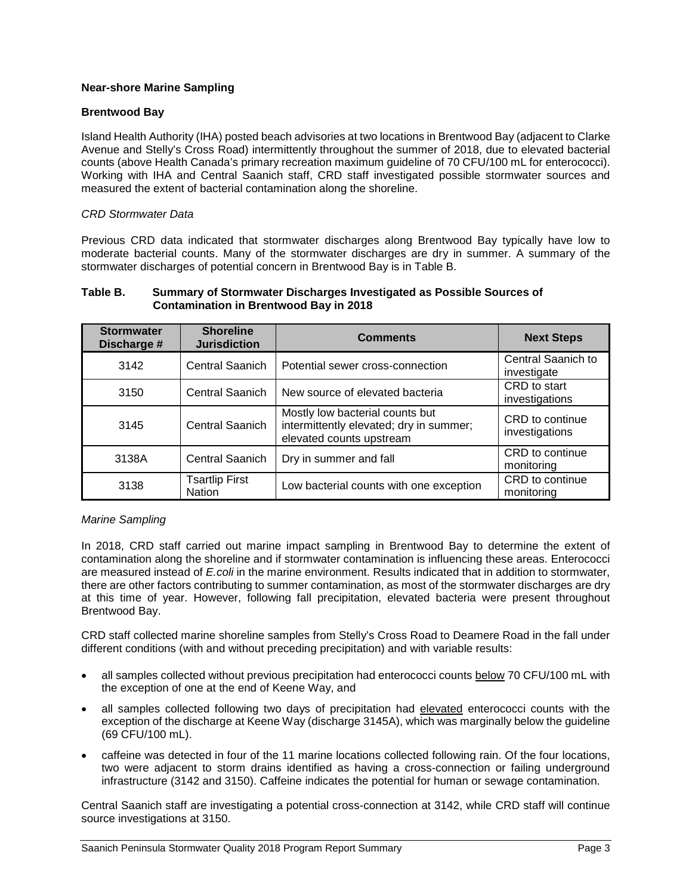# **Near-shore Marine Sampling**

# **Brentwood Bay**

Island Health Authority (IHA) posted beach advisories at two locations in Brentwood Bay (adjacent to Clarke Avenue and Stelly's Cross Road) intermittently throughout the summer of 2018, due to elevated bacterial counts (above Health Canada's primary recreation maximum guideline of 70 CFU/100 mL for enterococci). Working with IHA and Central Saanich staff, CRD staff investigated possible stormwater sources and measured the extent of bacterial contamination along the shoreline.

## *CRD Stormwater Data*

Previous CRD data indicated that stormwater discharges along Brentwood Bay typically have low to moderate bacterial counts. Many of the stormwater discharges are dry in summer. A summary of the stormwater discharges of potential concern in Brentwood Bay is in Table B.

#### **Table B. Summary of Stormwater Discharges Investigated as Possible Sources of Contamination in Brentwood Bay in 2018**

| <b>Stormwater</b><br>Discharge # | <b>Shoreline</b><br><b>Jurisdiction</b> | <b>Comments</b>                                                                                        | <b>Next Steps</b>                 |
|----------------------------------|-----------------------------------------|--------------------------------------------------------------------------------------------------------|-----------------------------------|
| 3142                             | Central Saanich                         | Potential sewer cross-connection                                                                       | Central Saanich to<br>investigate |
| 3150                             | <b>Central Saanich</b>                  | New source of elevated bacteria                                                                        | CRD to start<br>investigations    |
| 3145                             | Central Saanich                         | Mostly low bacterial counts but<br>intermittently elevated; dry in summer;<br>elevated counts upstream | CRD to continue<br>investigations |
| 3138A                            | <b>Central Saanich</b>                  | Dry in summer and fall                                                                                 | CRD to continue<br>monitoring     |
| 3138                             | <b>Tsartlip First</b><br><b>Nation</b>  | Low bacterial counts with one exception                                                                | CRD to continue<br>monitoring     |

#### *Marine Sampling*

In 2018, CRD staff carried out marine impact sampling in Brentwood Bay to determine the extent of contamination along the shoreline and if stormwater contamination is influencing these areas. Enterococci are measured instead of *E.coli* in the marine environment. Results indicated that in addition to stormwater, there are other factors contributing to summer contamination, as most of the stormwater discharges are dry at this time of year. However, following fall precipitation, elevated bacteria were present throughout Brentwood Bay.

CRD staff collected marine shoreline samples from Stelly's Cross Road to Deamere Road in the fall under different conditions (with and without preceding precipitation) and with variable results:

- all samples collected without previous precipitation had enterococci counts below 70 CFU/100 mL with the exception of one at the end of Keene Way, and
- all samples collected following two days of precipitation had elevated enterococci counts with the exception of the discharge at Keene Way (discharge 3145A), which was marginally below the guideline (69 CFU/100 mL).
- caffeine was detected in four of the 11 marine locations collected following rain. Of the four locations, two were adjacent to storm drains identified as having a cross-connection or failing underground infrastructure (3142 and 3150). Caffeine indicates the potential for human or sewage contamination.

Central Saanich staff are investigating a potential cross-connection at 3142, while CRD staff will continue source investigations at 3150.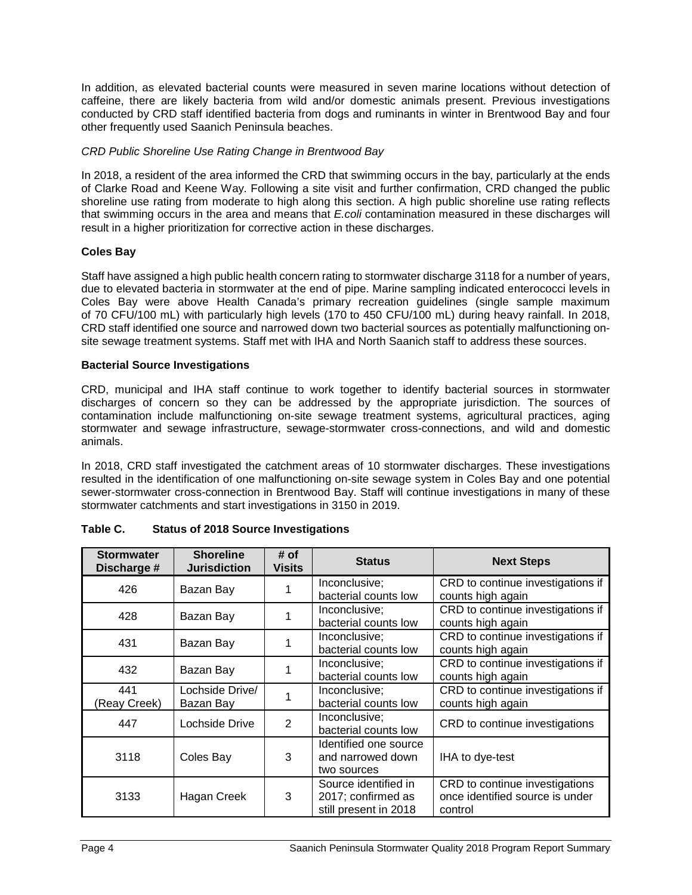In addition, as elevated bacterial counts were measured in seven marine locations without detection of caffeine, there are likely bacteria from wild and/or domestic animals present. Previous investigations conducted by CRD staff identified bacteria from dogs and ruminants in winter in Brentwood Bay and four other frequently used Saanich Peninsula beaches.

## *CRD Public Shoreline Use Rating Change in Brentwood Bay*

In 2018, a resident of the area informed the CRD that swimming occurs in the bay, particularly at the ends of Clarke Road and Keene Way. Following a site visit and further confirmation, CRD changed the public shoreline use rating from moderate to high along this section. A high public shoreline use rating reflects that swimming occurs in the area and means that *E.coli* contamination measured in these discharges will result in a higher prioritization for corrective action in these discharges.

# **Coles Bay**

Staff have assigned a high public health concern rating to stormwater discharge 3118 for a number of years, due to elevated bacteria in stormwater at the end of pipe. Marine sampling indicated enterococci levels in Coles Bay were above Health Canada's primary recreation guidelines (single sample maximum of 70 CFU/100 mL) with particularly high levels (170 to 450 CFU/100 mL) during heavy rainfall. In 2018, CRD staff identified one source and narrowed down two bacterial sources as potentially malfunctioning onsite sewage treatment systems. Staff met with IHA and North Saanich staff to address these sources.

## **Bacterial Source Investigations**

CRD, municipal and IHA staff continue to work together to identify bacterial sources in stormwater discharges of concern so they can be addressed by the appropriate jurisdiction. The sources of contamination include malfunctioning on-site sewage treatment systems, agricultural practices, aging stormwater and sewage infrastructure, sewage-stormwater cross-connections, and wild and domestic animals.

In 2018, CRD staff investigated the catchment areas of 10 stormwater discharges. These investigations resulted in the identification of one malfunctioning on-site sewage system in Coles Bay and one potential sewer-stormwater cross-connection in Brentwood Bay. Staff will continue investigations in many of these stormwater catchments and start investigations in 3150 in 2019.

| <b>Stormwater</b><br>Discharge # | <b>Shoreline</b><br><b>Jurisdiction</b> | # of<br><b>Visits</b> | <b>Status</b>                                                       | <b>Next Steps</b>                                                            |
|----------------------------------|-----------------------------------------|-----------------------|---------------------------------------------------------------------|------------------------------------------------------------------------------|
| 426                              | Bazan Bay                               |                       | Inconclusive;<br>bacterial counts low                               | CRD to continue investigations if<br>counts high again                       |
| 428                              | Bazan Bay                               |                       | Inconclusive;<br>bacterial counts low                               | CRD to continue investigations if<br>counts high again                       |
| 431                              | Bazan Bay                               |                       | Inconclusive;<br>bacterial counts low                               | CRD to continue investigations if<br>counts high again                       |
| 432                              | Bazan Bay                               |                       | Inconclusive;<br>bacterial counts low                               | CRD to continue investigations if<br>counts high again                       |
| 441<br>(Reay Creek)              | Lochside Drive/<br>Bazan Bay            |                       | Inconclusive;<br>bacterial counts low                               | CRD to continue investigations if<br>counts high again                       |
| 447                              | Lochside Drive                          | 2                     | Inconclusive;<br>bacterial counts low                               | CRD to continue investigations                                               |
| 3118                             | Coles Bay                               | 3                     | Identified one source<br>and narrowed down<br>two sources           | IHA to dye-test                                                              |
| 3133                             | Hagan Creek                             | 3                     | Source identified in<br>2017; confirmed as<br>still present in 2018 | CRD to continue investigations<br>once identified source is under<br>control |

| Table C. | <b>Status of 2018 Source Investigations</b> |
|----------|---------------------------------------------|
|----------|---------------------------------------------|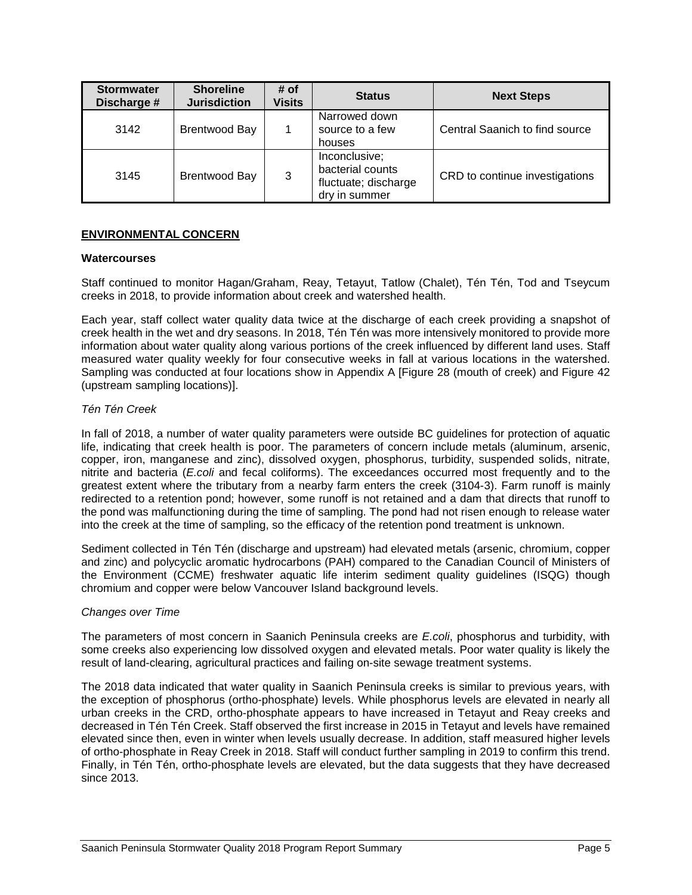| <b>Stormwater</b><br>Discharge # | <b>Shoreline</b><br><b>Jurisdiction</b> | # of<br><b>Visits</b> | <b>Status</b>                                                              | <b>Next Steps</b>              |
|----------------------------------|-----------------------------------------|-----------------------|----------------------------------------------------------------------------|--------------------------------|
| 3142                             | Brentwood Bay                           |                       | Narrowed down<br>source to a few<br>houses                                 | Central Saanich to find source |
| 3145                             | <b>Brentwood Bay</b>                    | 3                     | Inconclusive;<br>bacterial counts<br>fluctuate; discharge<br>dry in summer | CRD to continue investigations |

## **ENVIRONMENTAL CONCERN**

#### **Watercourses**

Staff continued to monitor Hagan/Graham, Reay, Tetayut, Tatlow (Chalet), Tén Tén, Tod and Tseycum creeks in 2018, to provide information about creek and watershed health.

Each year, staff collect water quality data twice at the discharge of each creek providing a snapshot of creek health in the wet and dry seasons. In 2018, Tén Tén was more intensively monitored to provide more information about water quality along various portions of the creek influenced by different land uses. Staff measured water quality weekly for four consecutive weeks in fall at various locations in the watershed. Sampling was conducted at four locations show in Appendix A [Figure 28 (mouth of creek) and Figure 42 (upstream sampling locations)].

## *Tén Tén Creek*

In fall of 2018, a number of water quality parameters were outside BC guidelines for protection of aquatic life, indicating that creek health is poor. The parameters of concern include metals (aluminum, arsenic, copper, iron, manganese and zinc), dissolved oxygen, phosphorus, turbidity, suspended solids, nitrate, nitrite and bacteria (*E.coli* and fecal coliforms). The exceedances occurred most frequently and to the greatest extent where the tributary from a nearby farm enters the creek (3104-3). Farm runoff is mainly redirected to a retention pond; however, some runoff is not retained and a dam that directs that runoff to the pond was malfunctioning during the time of sampling. The pond had not risen enough to release water into the creek at the time of sampling, so the efficacy of the retention pond treatment is unknown.

Sediment collected in Tén Tén (discharge and upstream) had elevated metals (arsenic, chromium, copper and zinc) and polycyclic aromatic hydrocarbons (PAH) compared to the Canadian Council of Ministers of the Environment (CCME) freshwater aquatic life interim sediment quality guidelines (ISQG) though chromium and copper were below Vancouver Island background levels.

#### *Changes over Time*

The parameters of most concern in Saanich Peninsula creeks are *E.coli*, phosphorus and turbidity, with some creeks also experiencing low dissolved oxygen and elevated metals. Poor water quality is likely the result of land-clearing, agricultural practices and failing on-site sewage treatment systems.

The 2018 data indicated that water quality in Saanich Peninsula creeks is similar to previous years, with the exception of phosphorus (ortho-phosphate) levels. While phosphorus levels are elevated in nearly all urban creeks in the CRD, ortho-phosphate appears to have increased in Tetayut and Reay creeks and decreased in Tén Tén Creek. Staff observed the first increase in 2015 in Tetayut and levels have remained elevated since then, even in winter when levels usually decrease. In addition, staff measured higher levels of ortho-phosphate in Reay Creek in 2018. Staff will conduct further sampling in 2019 to confirm this trend. Finally, in Tén Tén, ortho-phosphate levels are elevated, but the data suggests that they have decreased since 2013.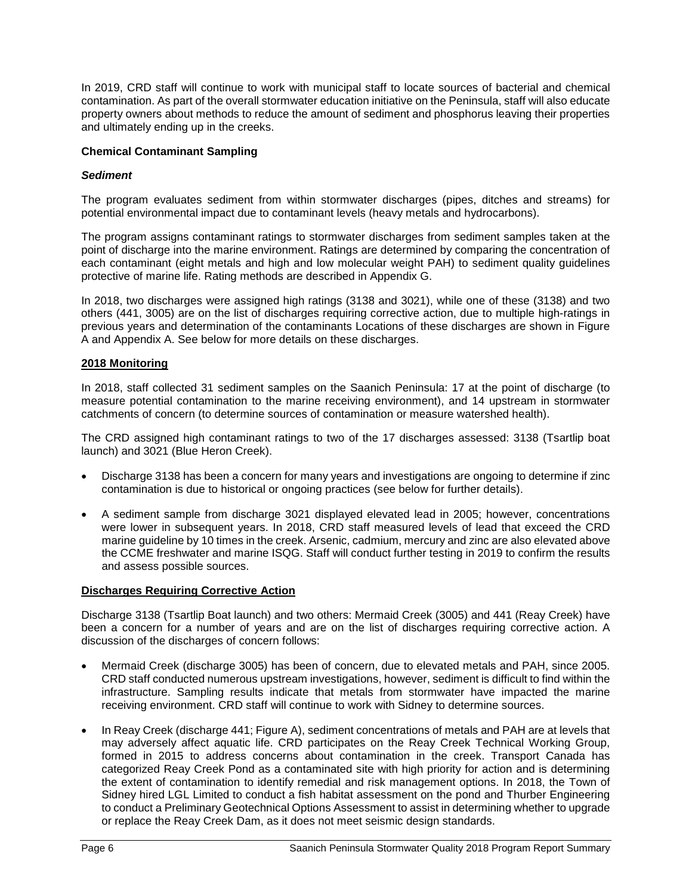In 2019, CRD staff will continue to work with municipal staff to locate sources of bacterial and chemical contamination. As part of the overall stormwater education initiative on the Peninsula, staff will also educate property owners about methods to reduce the amount of sediment and phosphorus leaving their properties and ultimately ending up in the creeks.

# **Chemical Contaminant Sampling**

# *Sediment*

The program evaluates sediment from within stormwater discharges (pipes, ditches and streams) for potential environmental impact due to contaminant levels (heavy metals and hydrocarbons).

The program assigns contaminant ratings to stormwater discharges from sediment samples taken at the point of discharge into the marine environment. Ratings are determined by comparing the concentration of each contaminant (eight metals and high and low molecular weight PAH) to sediment quality guidelines protective of marine life. Rating methods are described in Appendix G.

In 2018, two discharges were assigned high ratings (3138 and 3021), while one of these (3138) and two others (441, 3005) are on the list of discharges requiring corrective action, due to multiple high-ratings in previous years and determination of the contaminants Locations of these discharges are shown in Figure A and Appendix A. See below for more details on these discharges.

# **2018 Monitoring**

In 2018, staff collected 31 sediment samples on the Saanich Peninsula: 17 at the point of discharge (to measure potential contamination to the marine receiving environment), and 14 upstream in stormwater catchments of concern (to determine sources of contamination or measure watershed health).

The CRD assigned high contaminant ratings to two of the 17 discharges assessed: 3138 (Tsartlip boat launch) and 3021 (Blue Heron Creek).

- Discharge 3138 has been a concern for many years and investigations are ongoing to determine if zinc contamination is due to historical or ongoing practices (see below for further details).
- A sediment sample from discharge 3021 displayed elevated lead in 2005; however, concentrations were lower in subsequent years. In 2018, CRD staff measured levels of lead that exceed the CRD marine guideline by 10 times in the creek. Arsenic, cadmium, mercury and zinc are also elevated above the CCME freshwater and marine ISQG. Staff will conduct further testing in 2019 to confirm the results and assess possible sources.

# **Discharges Requiring Corrective Action**

Discharge 3138 (Tsartlip Boat launch) and two others: Mermaid Creek (3005) and 441 (Reay Creek) have been a concern for a number of years and are on the list of discharges requiring corrective action. A discussion of the discharges of concern follows:

- Mermaid Creek (discharge 3005) has been of concern, due to elevated metals and PAH, since 2005. CRD staff conducted numerous upstream investigations, however, sediment is difficult to find within the infrastructure. Sampling results indicate that metals from stormwater have impacted the marine receiving environment. CRD staff will continue to work with Sidney to determine sources.
- In Reay Creek (discharge 441; Figure A), sediment concentrations of metals and PAH are at levels that may adversely affect aquatic life. CRD participates on the Reay Creek Technical Working Group, formed in 2015 to address concerns about contamination in the creek. Transport Canada has categorized Reay Creek Pond as a contaminated site with high priority for action and is determining the extent of contamination to identify remedial and risk management options. In 2018, the Town of Sidney hired LGL Limited to conduct a fish habitat assessment on the pond and Thurber Engineering to conduct a Preliminary Geotechnical Options Assessment to assist in determining whether to upgrade or replace the Reay Creek Dam, as it does not meet seismic design standards.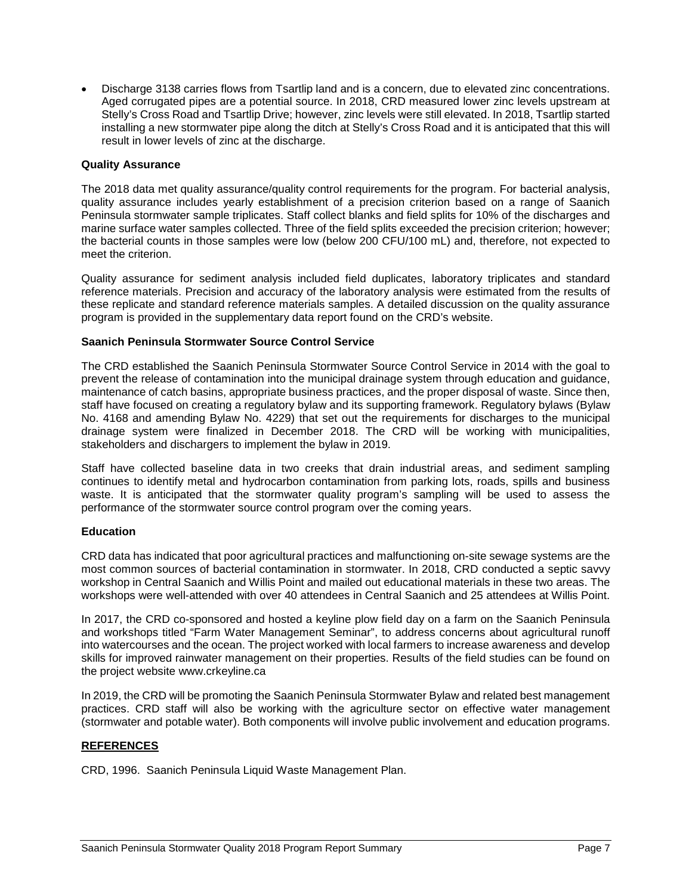• Discharge 3138 carries flows from Tsartlip land and is a concern, due to elevated zinc concentrations. Aged corrugated pipes are a potential source. In 2018, CRD measured lower zinc levels upstream at Stelly's Cross Road and Tsartlip Drive; however, zinc levels were still elevated. In 2018, Tsartlip started installing a new stormwater pipe along the ditch at Stelly's Cross Road and it is anticipated that this will result in lower levels of zinc at the discharge.

## **Quality Assurance**

The 2018 data met quality assurance/quality control requirements for the program. For bacterial analysis, quality assurance includes yearly establishment of a precision criterion based on a range of Saanich Peninsula stormwater sample triplicates. Staff collect blanks and field splits for 10% of the discharges and marine surface water samples collected. Three of the field splits exceeded the precision criterion; however; the bacterial counts in those samples were low (below 200 CFU/100 mL) and, therefore, not expected to meet the criterion.

Quality assurance for sediment analysis included field duplicates, laboratory triplicates and standard reference materials. Precision and accuracy of the laboratory analysis were estimated from the results of these replicate and standard reference materials samples. A detailed discussion on the quality assurance program is provided in the supplementary data report found on the CRD's website.

## **Saanich Peninsula Stormwater Source Control Service**

The CRD established the Saanich Peninsula Stormwater Source Control Service in 2014 with the goal to prevent the release of contamination into the municipal drainage system through education and guidance, maintenance of catch basins, appropriate business practices, and the proper disposal of waste. Since then, staff have focused on creating a regulatory bylaw and its supporting framework. Regulatory bylaws (Bylaw No. 4168 and amending Bylaw No. 4229) that set out the requirements for discharges to the municipal drainage system were finalized in December 2018. The CRD will be working with municipalities, stakeholders and dischargers to implement the bylaw in 2019.

Staff have collected baseline data in two creeks that drain industrial areas, and sediment sampling continues to identify metal and hydrocarbon contamination from parking lots, roads, spills and business waste. It is anticipated that the stormwater quality program's sampling will be used to assess the performance of the stormwater source control program over the coming years.

# **Education**

CRD data has indicated that poor agricultural practices and malfunctioning on-site sewage systems are the most common sources of bacterial contamination in stormwater. In 2018, CRD conducted a septic savvy workshop in Central Saanich and Willis Point and mailed out educational materials in these two areas. The workshops were well-attended with over 40 attendees in Central Saanich and 25 attendees at Willis Point.

In 2017, the CRD co-sponsored and hosted a keyline plow field day on a farm on the Saanich Peninsula and workshops titled "Farm Water Management Seminar", to address concerns about agricultural runoff into watercourses and the ocean. The project worked with local farmers to increase awareness and develop skills for improved rainwater management on their properties. Results of the field studies can be found on the project website www.crkeyline.ca

In 2019, the CRD will be promoting the Saanich Peninsula Stormwater Bylaw and related best management practices. CRD staff will also be working with the agriculture sector on effective water management (stormwater and potable water). Both components will involve public involvement and education programs.

# **REFERENCES**

CRD, 1996. Saanich Peninsula Liquid Waste Management Plan.